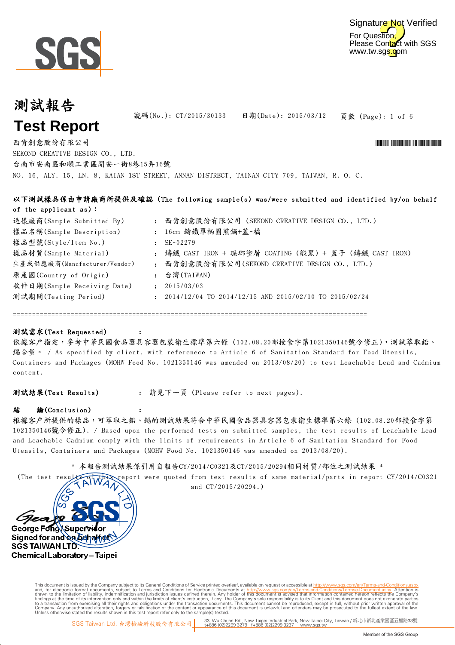



頁數 (Page): 1 of 6 號碼(No.): CT/2015/30133 日期(Date): 2015/03/12

NO. 16, ALY. 15, LN. 8, KAIAN 1ST STREET, ANNAN DISTRECT, TAINAN CITY 709, TAIWAN, R. O. C. 西肯創意股份有限公司 \*CT/2015/30133\* SEKOND CREATIVE DESIGN CO., LTD. 台南市安南區和順工業區開安一街8巷15弄16號

|                              |              | 以下測試樣品係由申請廠商所提供及確認(The following sample(s) was/were submitted and identified by/on behalf |
|------------------------------|--------------|-------------------------------------------------------------------------------------------|
| of the applicant as):        |              |                                                                                           |
| 送樣廠商(Sample Submitted By)    |              | : 西肯創意股份有限公司 (SEKOND CREATIVE DESIGN CO., LTD.)                                           |
| 樣品名稱(Sample Description)     |              | : 16cm 鑄鐵單柄圓煎鍋+蓋-橘                                                                        |
| 樣品型號(Style/Item No.)         |              | $SE-02279$                                                                                |
| 樣品材質(Sample Material)        |              | : 鑄鐵 CAST IRON + 琺瑯塗層 COATING (緞黑) + 蓋子 (鑄鐵 CAST IRON)                                    |
| 生產或供應廠商(Manufacturer/Vendor) | $\mathbf{r}$ | 西肯創意股份有限公司(SEKOND CREATIVE DESIGN CO., LTD.)                                              |
| 原產國(Country of Origin)       |              | : 台灣(TAIWAN)                                                                              |
| 收件日期(Sample Receiving Date)  | $\mathbf{r}$ | 2015/03/03                                                                                |
| 測試期間(Testing Period)         |              | $\div$ 2014/12/04 TO 2014/12/15 AND 2015/02/10 TO 2015/02/24                              |
|                              |              |                                                                                           |

============================================================================================

### 測試需求(Test Requested)

依據客戶指定,參考中華民國食品器具容器包裝衛生標準第六條 (102.08.20部授食字第1021350146號令修正),測試萃取鉛、 鎘含量。 / As specified by client, with referenece to Article 6 of Sanitation Standard for Food Utensils, Containers and Packages (MOHW Food No. 1021350146 was amended on 2013/08/20) to test Leachable Lead and Cadmium content.

測試結果(Test Results) : 請見下一頁 (Please refer to next pages).

:

:

#### 結 論(Conclusion)

根據客戶所提供的樣品,可萃取之鉛、鎘的測試結果符合中華民國食品器具容器包裝衛生標準第六條 (102.08.20部授食字第 1021350146號令修正). / Based upon the performed tests on submitted samples, the test results of Leachable Lead and Leachable Cadmium comply with the limits of requirements in Article 6 of Sanitation Standard for Food Utensils, Containers and Packages (MOHW Food No. 1021350146 was amended on 2013/08/20).

\* 本報告測試結果係引用自報告CY/2014/C0321及CT/2015/20294相同材質/部位之測試結果 \*

(The test results of this report were quoted from test results of same material/parts in report CY/2014/C0321 and CT/2015/20294.)



Digitally signed by www.wmholetech. This document is issued by the Company subject to its General Conditions of Service printed overleaf, available on request or accessible at http://www.sqs.com/en/Terms-and-Co and, for electronic format documents, subject to Terms and Conditions for Electronic Documents at http://www.sgs.com/en/Terms-and-Conditions/Terms-Document aspx. Attention is drawn to the limitation of lability, indemnific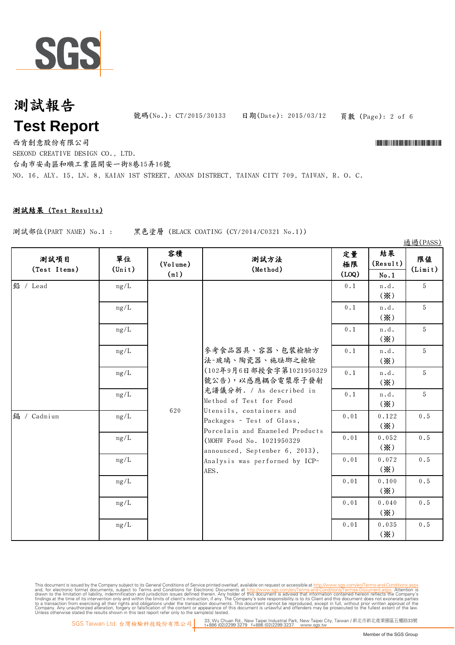

號碼(No.): CT/2015/30133 日期(Date): 2015/03/12

頁數 (Page): 2 of 6

通過(PASS)

西肯創意股份有限公司 \*CT/2015/30133\* SEKOND CREATIVE DESIGN CO., LTD. 台南市安南區和順工業區開安一街8巷15弄16號

NO. 16, ALY. 15, LN. 8, KAIAN 1ST STREET, ANNAN DISTRECT, TAINAN CITY 709, TAIWAN, R. O. C.

### 測試結果 (Test Results)

測試部位(PART NAME) No.1 : 黑色塗層 (BLACK COATING (CY/2014/C0321 No.1))

No.1  $0.1$  |  $n.d.$ (※) 5  $0.1$  |  $n.d.$ (※) 5 0.1 | n.d. (※) 5  $0.1$   $n.d.$ (※) 5  $0.1 \quad | \quad n.d. \quad | \quad 5$ 鉛 / Lead 定量 極限 (LOQ) 測試方法 (Method) mg/L 參考食品器具、容器、包裝檢驗方 法-玻璃、陶瓷器、施琺瑯之檢驗 (102年9月6日部授食字第1021950329 mg/L mg/L 結果 (Result) 測試項目 (Test Items) mg/L 容積 (Volume) (ml) 單位 (Unit) mg/L 限值 (Limit) (※)  $0.1$   $n.d.$ (※) 5 0.01 0.122 (※) 0.5 0.052 (※) 0.5 0.072 (※) 0.5 0.01 0.100 (※) 0.5 0.040 (※) 0.5 0.035 (※) 0.5 鎘 / Cadmium 620 號公告),以感應耦合電漿原子發射 光譜儀分析. / As described in Method of Test for Food Utensils, containers and Packages - Test of Glass, Porcelain and Enameled Products (MOHW Food No. 1021950329 announced, September 6, 2013), Analysis was performed by ICP-AES. mg/L mg/L mg/L mg/L mg/L mg/L mg/L

This document is issued by the Company subject to its General Conditions of Service printed overleaf, available on request or accessible at http://www.sqs.com/en/Terms-and-Con and, for electronic format documents, subject to Terms and Conditions for Electronic Documents at http://www.sgs.com/en/Terms-and-Conditions/Terms-Document aspx. Attention is drawn to the limitation of lability, indemnific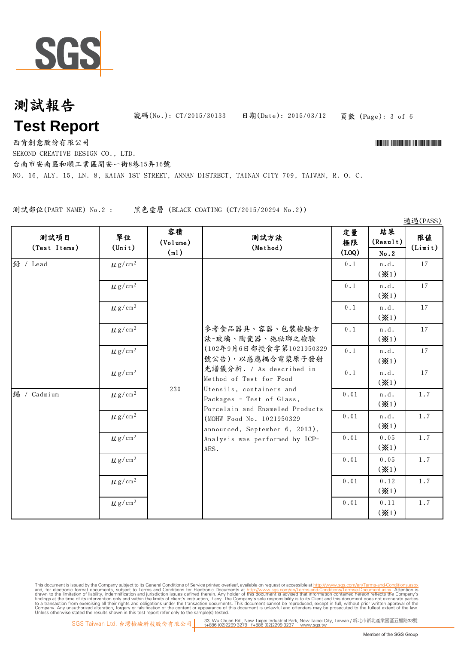

頁數 (Page): 3 of 6 號碼(No.): CT/2015/30133 日期(Date): 2015/03/12

西肯創意股份有限公司 \*CT/2015/30133\*

SEKOND CREATIVE DESIGN CO., LTD.

台南市安南區和順工業區開安一街8巷15弄16號

NO. 16, ALY. 15, LN. 8, KAIAN 1ST STREET, ANNAN DISTRECT, TAINAN CITY 709, TAIWAN, R. O. C.

測試部位(PART NAME) No.2 : 黑色塗層 (BLACK COATING (CT/2015/20294 No.2))

No.2 0.1 | n.d. (※1) 17 0.1 | n.d. (※1) 17  $0.1$  |  $n.d.$ (※1) 17  $0.1$  |  $n.d.$ (※1) 17  $0.1 \quad \text{ln.d.}$  $(* 1)$ 17  $0.1 \quad \text{ln.d.} \quad 17$ 參考食品器具、容器、包裝檢驗方 法-玻璃、陶瓷器、施琺瑯之檢驗 (102年9月6日部授食字第1021950329 號公告),以感應耦合雷漿原子發射 光譜儀分析. / As described in 鉛 / Lead 測試項目 (Test Items)  $\mu$ g/cm<sup>2</sup>  $\mu$ g/cm<sup>2</sup>  $\mu$  g/cm²  $\mu$ g/cm<sup>2</sup>  $\mu$  g/cm<sup>2</sup>  $\mu$ g/cm<sup>2</sup> 單位  $(T + \mu)$  (Volume) (ml) 客積 ┃ ………… 定量 ┃ 結果 (Result) 限值 (Limit) 定量 極限 (LOQ) 通過(PASS) 測試方法 (Method)  $(* 1)$  $0.01$   $n.d.$ (※1) 1.7  $0.01$   $\ln d$ . (※1) 1.7 0.01 0.05 (※1) 1.7 0.01 0.05 (※1) 1.7 0.01 0.12 (※1) 1.7 0.01 0.11 (※1) 1.7 230 Method of Test for Food Utensils, containers and Packages - Test of Glass, Porcelain and Enameled Products (MOHW Food No. 1021950329 announced, September 6, 2013), Analysis was performed by ICP-AES. 鎘 / Cadmium  $\mu$  g/cm<sup>2</sup>  $\mu$ g/cm<sup>2</sup>  $\mu$  g/cm<sup>2</sup>  $\mu$  g/cm<sup>2</sup>  $\mu$ g/cm<sup>2</sup>  $\mu$ g/cm<sup>2</sup>

This document is issued by the Company subject to Terms and Conditions of Service printed overleaf, available on request or accessible at th<u>ttp://www.sgs.com/en/Terms-and-Conditions/Termse-Document as apx</u><br>and, for electr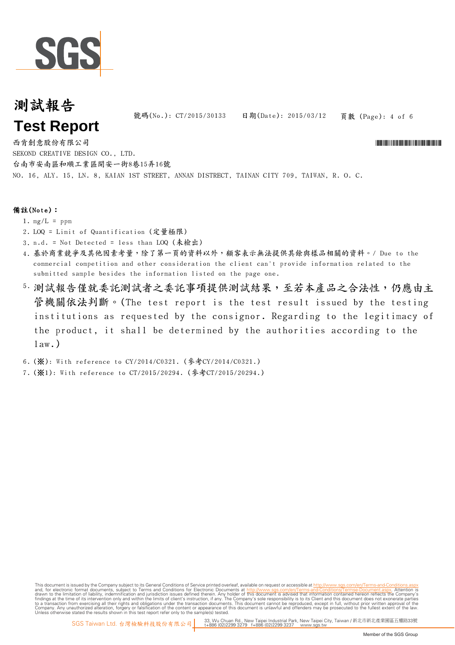

頁數 (Page): 4 of 6 號碼(No.): CT/2015/30133 日期(Date): 2015/03/12

NO. 16, ALY. 15, LN. 8, KAIAN 1ST STREET, ANNAN DISTRECT, TAINAN CITY 709, TAIWAN, R. O. C. 西肯創意股份有限公司 \*CT/2015/30133\* SEKOND CREATIVE DESIGN CO., LTD. 台南市安南區和順工業區開安一街8巷15弄16號

### 備註(Note):

- 1.  $mg/L = ppm$
- 2. LOQ = Limit of Quantification (定量極限)
- 3. n.d. = Not Detected = less than LOQ (未檢出)
- 4. 基於商業競爭及其他因素考量,除了第一頁的資料以外,顧客表示無法提供其餘與樣品相關的資料。/ Due to the commercial competition and other consideration the client can't provide information related to the submitted sample besides the information listed on the page one.
- 5. 測試報告僅就委託測試事項提供測試結果,至若本產品之合法性,仍應由主 管機關依法判斷。(The test report is the test result issued by the testing institutions as requested by the consignor. Regarding to the legitimacy of the product, it shall be determined by the authorities according to the  $law.)$
- 6. (※): With reference to CY/2014/C0321. (參考CY/2014/C0321.)
- 7. (※1): With reference to CT/2015/20294. (參考CT/2015/20294.)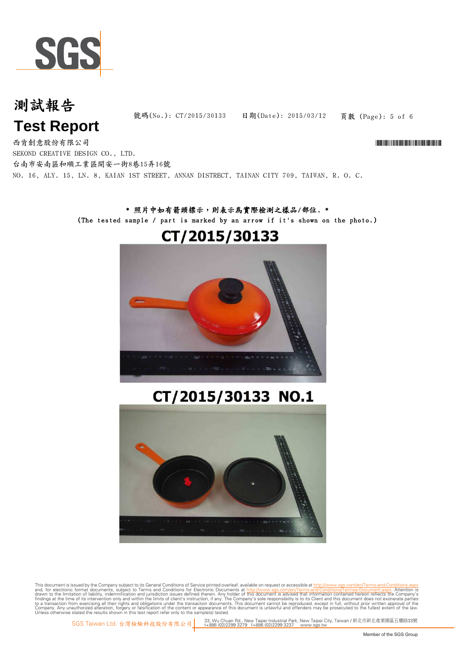

# 測試報告

頁數 (Page): 5 of 6 號碼(No.): CT/2015/30133 日期(Date): 2015/03/12

# **Test Report**

NO. 16, ALY. 15, LN. 8, KAIAN 1ST STREET, ANNAN DISTRECT, TAINAN CITY 709, TAIWAN, R. O. C. 西肯創意股份有限公司 \*CT/2015/30133\* SEKOND CREATIVE DESIGN CO., LTD. 台南市安南區和順工業區開安一街8巷15弄16號

### \* 照片中如有箭頭標示,則表示為實際檢測之樣品/部位. \* (The tested sample / part is marked by an arrow if it's shown on the photo.)

# CT/2015/30133



# CT/2015/30133 NO.1



This document is issued by the Company subject to Terms and Conditions of Service printed overleaf, available on request or accessible at th<u>ttp://www.sgs.com/en/Terms-and-Conditions/Termse-Document as apx</u><br>and, for electr